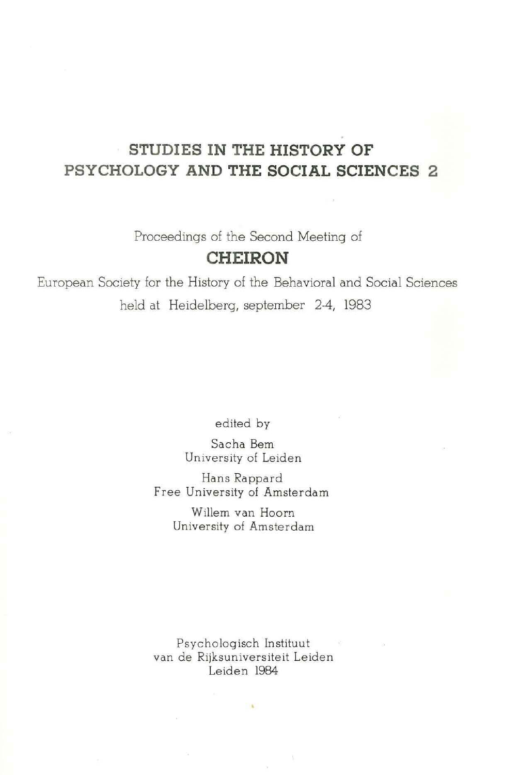## **STUDIES IN THE HISTORY OF PSYCHOLOGY AND THE SOCIAL SCIENCES 2**

Proceedings of the Second Meeting of

# **CHEIRON**

European Society for the History of the Behavioral and Social Sciences held at Heidelberg, september 2-4, 1983

edited by

Sacha Bern University of Leiden

Hans Rappard Free University of Amsterdam

> Willem van Hoorn University of Amsterdam

Psychologisch Instituut van de Rijksuniversiteit Leiden Leiden 1984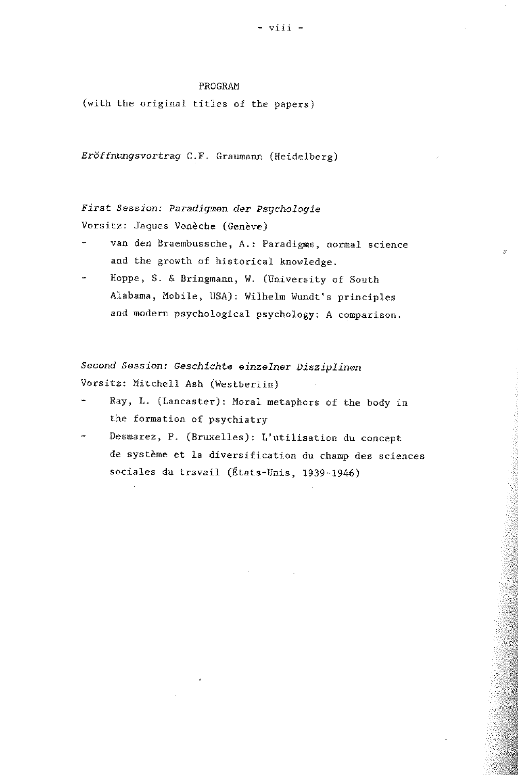#### PROGRAM

(with the original titles of the papers)

*Eröffnungsvortrag* C.F. Graumann (Heidelberg)

*First Session: Paradigmen der Psychologie*  Vorsitz: Jaques Vonèche (Genève)

- van den Braembussche, A.: Paradigms, normal science and the growth of historical knowledge.
- Hoppe, S. & Bringmann, W. (University of South Alabama, Mobile, USA): Wilhelm Wundt's principles and modern psychological psychology: A comparison.

*Second Session: Geschichte einzelner Disziplinen*  Vorsitz: Mitchell Ash (Westberlin)

- Ray, L. (Lancaster): Moral metaphors of the body in the formation of psychiatry
- Desmarez, P. (Bruxelles): L' utilisation du concept de systeme et la diversification du champ des sciences sociales du travail (Etats-Unis, 1939-1946)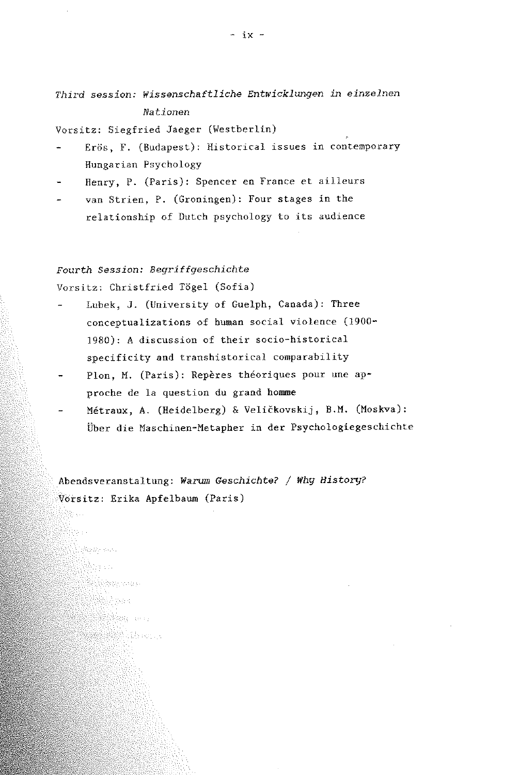*Third session: wissenschaftliche Entwicklungen in einzelnen Nationen* 

Vorsitz: Siegfried Jaeger (Westberlin)

- Erös, F. (Budapest): Historical issues in contemporary Hungarian Psychology
- Henry, P. (Paris): Spencer en France et ailleurs  $\overline{a}$
- van Strien, P. (Groningen): Four stages in the relationship of Dutch psychology to its audience

#### *Fourth Session: Begriffgeschichte*

Vorsitz: Christfried Tögel (Sofia)

**Beach and** abra di L **South Control** en de la provincia del provincia del control de la control de la control de la control de la control de la con<br>La control de la control de la control de la control de la control de la control de la control de la control d **Service** State

- Lubek, J. (University of Guelph, Canada): Three conceptualizations of human social violence (1900- 1980): A discussion of their socio-historical specificity and transhistorical comparability
- Plon, M. (Paris): Repères théoriques pour une approche de la question du grand hemme
- Metraux, A. (Heidelberg) & VeliCkovskij, B.M. (Moskva): Über die Maschinen-Metapher in der Psychologiegeschichte

Abendsveranstaltung: *Warum Geschichte?* / *Whg Historg?*  Vorsitz: Erika Apfelbaum (Paris)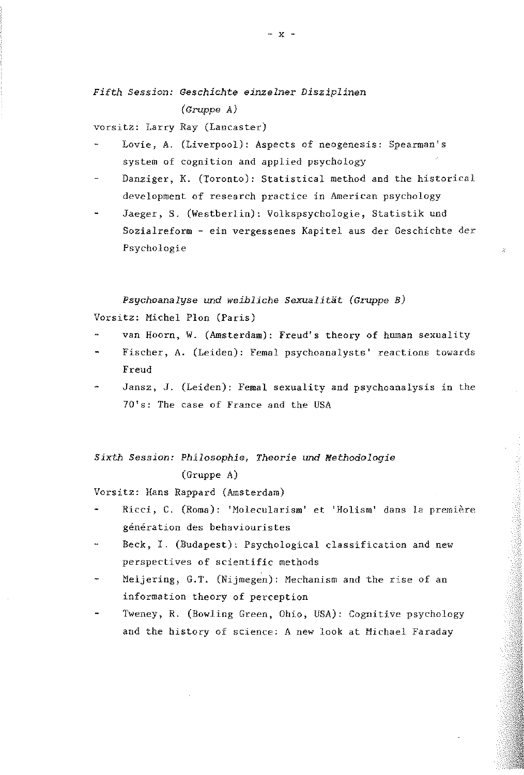### *Fifth Session: Geschichte einzelner Disziplinen (Gruppe A)*

Vorsitz: Larry Ray (Lancaster)

- Lovie, A. (Liverpool): Aspects of neogenesis: Spearman's system of cognition and applied psychology
- Danziger, K. (Toronto): Statistical method and the historical development of research practice in American psychology
- Jaeger, S. (Westberlin): Volkspsychologie, Statistik und Sozialreform - ein vergessenes Kapitel aus der Geschichte der Psychologie

 $\mathcal{U}$ 

*Psychoanalyse* und *weibliche Sexualität (Gruppe B)*  Vorsitz: Michel Plon (Paris)

- van Hoorn, W. (Amsterdam): Freud's theory of human sexuality
- Fischer, A. (Leiden): Femal psychoanalysts' reactions towards Freud
- Jansz, J. (Leiden): Femal sexuality and psychoanalysis in the 70's: The case of France and the USA

*Sixth Session: Philosophie, Theorie* und *Methodologie*  (Gruppe A)

Vorsitz: Hans Rappard (Amsterdam)

- Ricci, C. (Roma): 'Molecularism' et 'Holism' dans la première génération des behaviouristes
- Beck, I. (Budapest): Psychological classification and new perspectives of scientific methods
- Meijering, G.T. (Nijmegen): Mechanism and the rise of an information theory of perception
- Tweney, R. (Bowling Green, Ohio, USA): Cognitive psychology and the history of science: A new look at Michael Faraday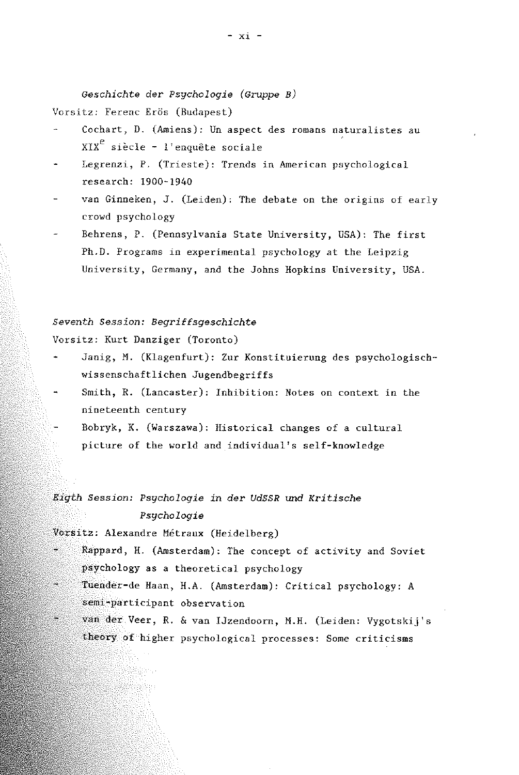*Geschichte* der *Psychologie (Gruppe B)* 

Vorsitz: Ferenc Erös (Budapest)

- Cochart, D. (Amiens): Un aspect des romans naturalistes au  $XIX<sup>e</sup>$  siècle - l'enquête sociale
- Legrenzi, P. (Trieste): Trends in American psychological research: 1900-1940
- van Ginneken, J. (Leiden): The debate on the origins of early crowd psychology
- Behrens, P. (Pennsylvania State University, USA): The first Ph.D. Programs in experimental psychology at the Leipzig University, Germany, and the Johns Hopkins University, USA.

### *Seventh Session: Begriffsgeschichte*

Vorsitz: Kurt Danziger (Toronto)

- Janig, M. (Klagenfurt): Zur Konstituierung des psychologischwissenschaftlichen Jugendbegriffs
- Smith, R. (Lancaster): Inhibition: Notes on context in the nineteenth century
- Bobryk, K. (Warszawa): Historical changes of a cultural picture of the world and individual's self-knowledge

*Eigth Session: Psychologie in der UdSSR* und *Kritische Psychologie* 

Vorsitz: Alexandre Métraux (Heidelberg)

- Rappard) H. (Amsterdam): The concept of activity and Soviet psychology as a theoretical psychology
- in. Tuender-de Haan, H.A. (Amsterdam): Critical psychology: *A*  semi~participant observation
- van der Veer, R. & van IJzendoorn, M.H. (Leiden: Vygotskij's theory of higher psychological processes: Some criticisms